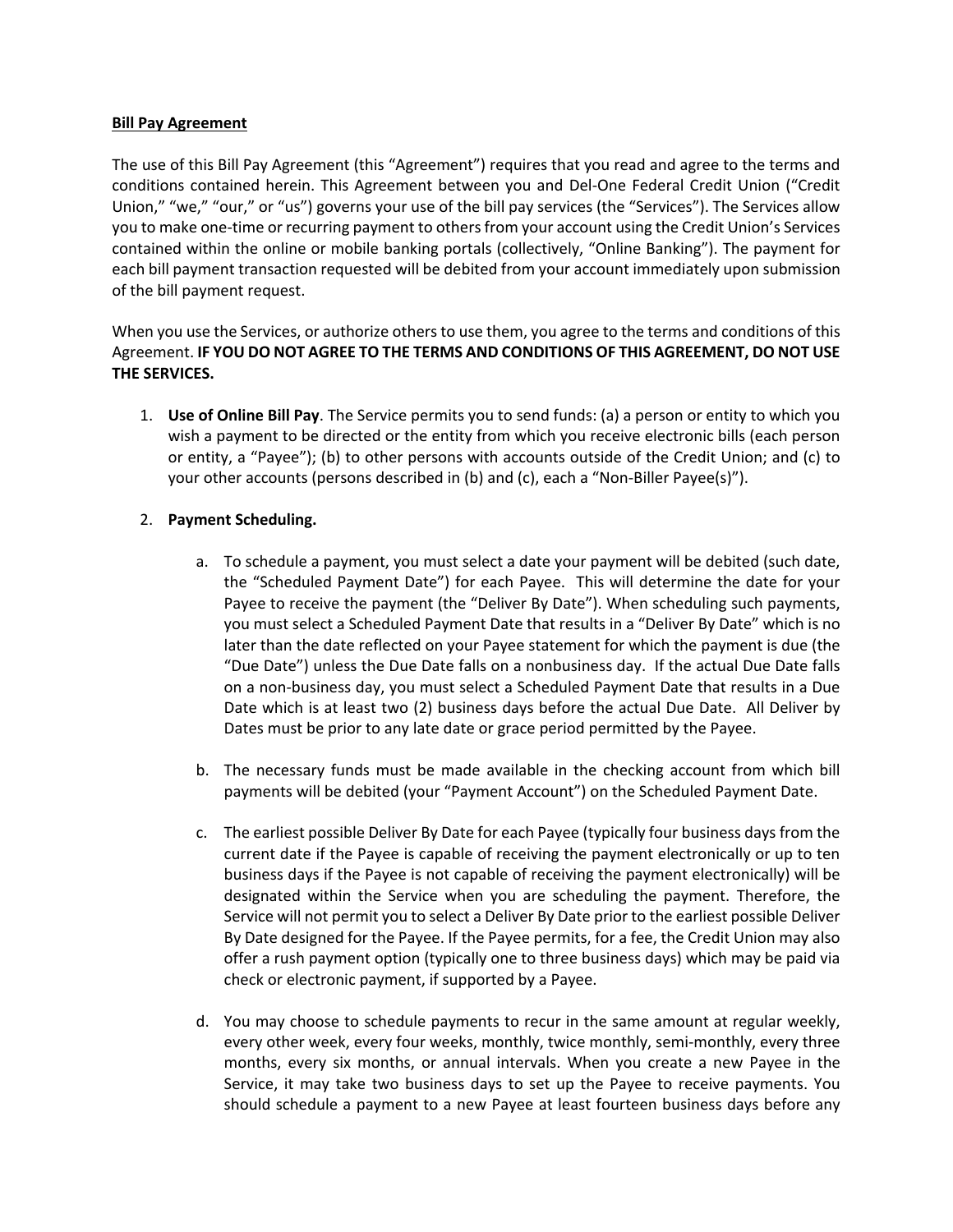#### **Bill Pay Agreement**

The use of this Bill Pay Agreement (this "Agreement") requires that you read and agree to the terms and conditions contained herein. This Agreement between you and Del-One Federal Credit Union ("Credit Union," "we," "our," or "us") governs your use of the bill pay services (the "Services"). The Services allow you to make one-time or recurring payment to others from your account using the Credit Union's Services contained within the online or mobile banking portals (collectively, "Online Banking"). The payment for each bill payment transaction requested will be debited from your account immediately upon submission of the bill payment request.

When you use the Services, or authorize others to use them, you agree to the terms and conditions of this Agreement. **IF YOU DO NOT AGREE TO THE TERMS AND CONDITIONS OF THIS AGREEMENT, DO NOT USE THE SERVICES.** 

1. **Use of Online Bill Pay**. The Service permits you to send funds: (a) a person or entity to which you wish a payment to be directed or the entity from which you receive electronic bills (each person or entity, a "Payee"); (b) to other persons with accounts outside of the Credit Union; and (c) to your other accounts (persons described in (b) and (c), each a "Non-Biller Payee(s)").

# 2. **Payment Scheduling.**

- a. To schedule a payment, you must select a date your payment will be debited (such date, the "Scheduled Payment Date") for each Payee. This will determine the date for your Payee to receive the payment (the "Deliver By Date"). When scheduling such payments, you must select a Scheduled Payment Date that results in a "Deliver By Date" which is no later than the date reflected on your Payee statement for which the payment is due (the "Due Date") unless the Due Date falls on a nonbusiness day. If the actual Due Date falls on a non-business day, you must select a Scheduled Payment Date that results in a Due Date which is at least two (2) business days before the actual Due Date. All Deliver by Dates must be prior to any late date or grace period permitted by the Payee.
- b. The necessary funds must be made available in the checking account from which bill payments will be debited (your "Payment Account") on the Scheduled Payment Date.
- c. The earliest possible Deliver By Date for each Payee (typically four business days from the current date if the Payee is capable of receiving the payment electronically or up to ten business days if the Payee is not capable of receiving the payment electronically) will be designated within the Service when you are scheduling the payment. Therefore, the Service will not permit you to select a Deliver By Date prior to the earliest possible Deliver By Date designed for the Payee. If the Payee permits, for a fee, the Credit Union may also offer a rush payment option (typically one to three business days) which may be paid via check or electronic payment, if supported by a Payee.
- d. You may choose to schedule payments to recur in the same amount at regular weekly, every other week, every four weeks, monthly, twice monthly, semi-monthly, every three months, every six months, or annual intervals. When you create a new Payee in the Service, it may take two business days to set up the Payee to receive payments. You should schedule a payment to a new Payee at least fourteen business days before any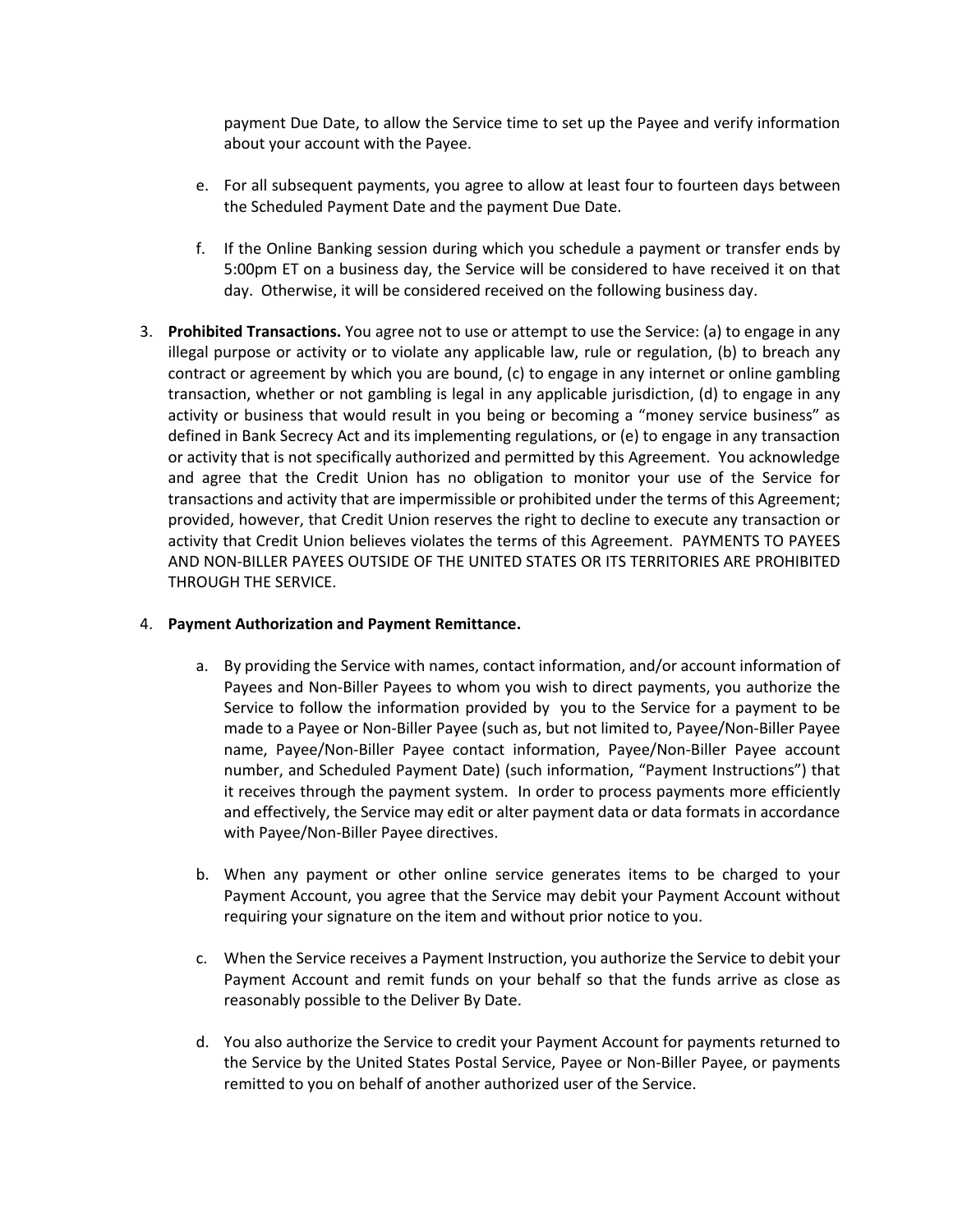payment Due Date, to allow the Service time to set up the Payee and verify information about your account with the Payee.

- e. For all subsequent payments, you agree to allow at least four to fourteen days between the Scheduled Payment Date and the payment Due Date.
- f. If the Online Banking session during which you schedule a payment or transfer ends by 5:00pm ET on a business day, the Service will be considered to have received it on that day. Otherwise, it will be considered received on the following business day.
- 3. **Prohibited Transactions.** You agree not to use or attempt to use the Service: (a) to engage in any illegal purpose or activity or to violate any applicable law, rule or regulation, (b) to breach any contract or agreement by which you are bound, (c) to engage in any internet or online gambling transaction, whether or not gambling is legal in any applicable jurisdiction, (d) to engage in any activity or business that would result in you being or becoming a "money service business" as defined in Bank Secrecy Act and its implementing regulations, or (e) to engage in any transaction or activity that is not specifically authorized and permitted by this Agreement. You acknowledge and agree that the Credit Union has no obligation to monitor your use of the Service for transactions and activity that are impermissible or prohibited under the terms of this Agreement; provided, however, that Credit Union reserves the right to decline to execute any transaction or activity that Credit Union believes violates the terms of this Agreement. PAYMENTS TO PAYEES AND NON-BILLER PAYEES OUTSIDE OF THE UNITED STATES OR ITS TERRITORIES ARE PROHIBITED THROUGH THE SERVICE.

# 4. **Payment Authorization and Payment Remittance.**

- a. By providing the Service with names, contact information, and/or account information of Payees and Non-Biller Payees to whom you wish to direct payments, you authorize the Service to follow the information provided by you to the Service for a payment to be made to a Payee or Non-Biller Payee (such as, but not limited to, Payee/Non-Biller Payee name, Payee/Non-Biller Payee contact information, Payee/Non-Biller Payee account number, and Scheduled Payment Date) (such information, "Payment Instructions") that it receives through the payment system. In order to process payments more efficiently and effectively, the Service may edit or alter payment data or data formats in accordance with Payee/Non-Biller Payee directives.
- b. When any payment or other online service generates items to be charged to your Payment Account, you agree that the Service may debit your Payment Account without requiring your signature on the item and without prior notice to you.
- c. When the Service receives a Payment Instruction, you authorize the Service to debit your Payment Account and remit funds on your behalf so that the funds arrive as close as reasonably possible to the Deliver By Date.
- d. You also authorize the Service to credit your Payment Account for payments returned to the Service by the United States Postal Service, Payee or Non-Biller Payee, or payments remitted to you on behalf of another authorized user of the Service.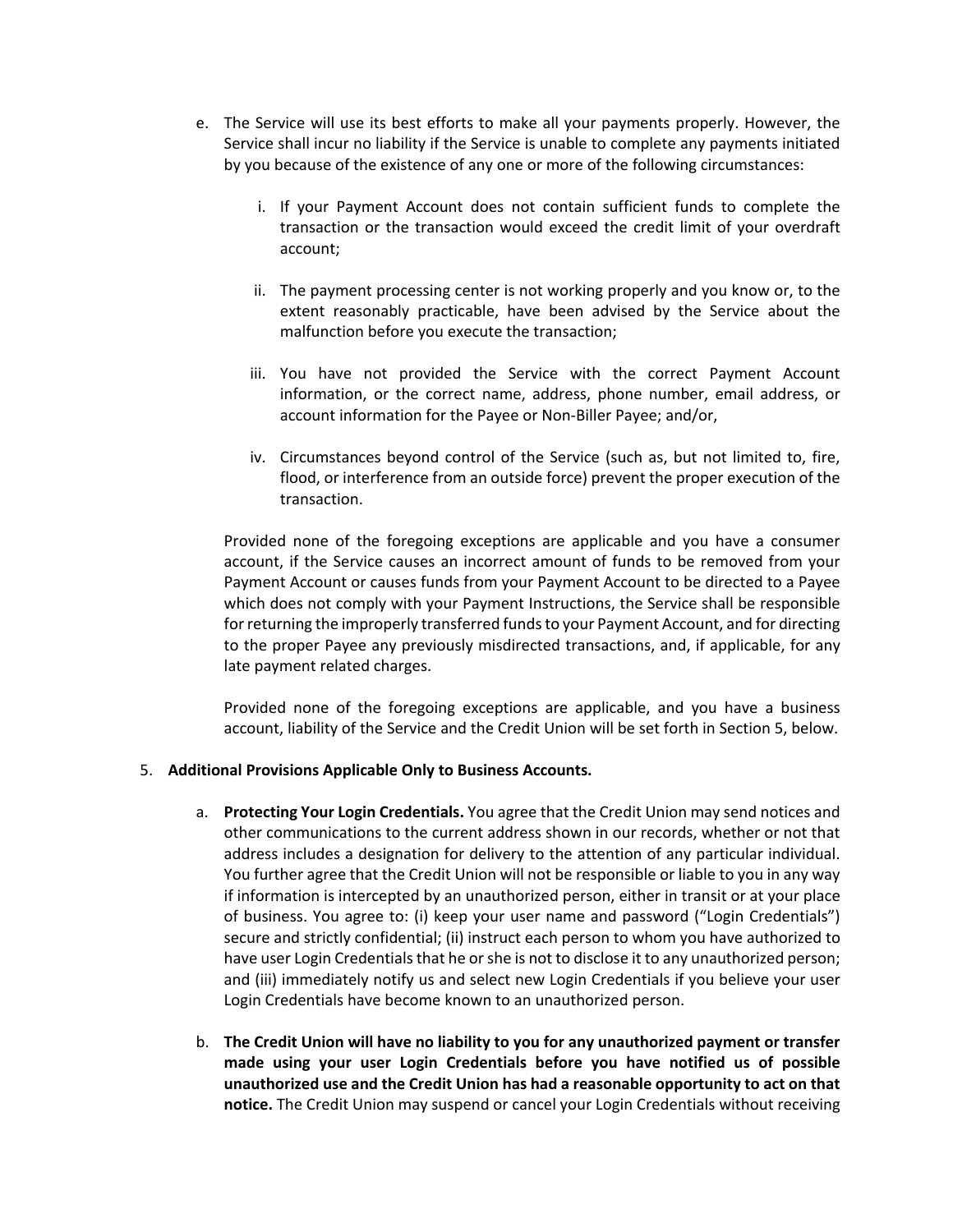- e. The Service will use its best efforts to make all your payments properly. However, the Service shall incur no liability if the Service is unable to complete any payments initiated by you because of the existence of any one or more of the following circumstances:
	- i. If your Payment Account does not contain sufficient funds to complete the transaction or the transaction would exceed the credit limit of your overdraft account;
	- ii. The payment processing center is not working properly and you know or, to the extent reasonably practicable, have been advised by the Service about the malfunction before you execute the transaction;
	- iii. You have not provided the Service with the correct Payment Account information, or the correct name, address, phone number, email address, or account information for the Payee or Non-Biller Payee; and/or,
	- iv. Circumstances beyond control of the Service (such as, but not limited to, fire, flood, or interference from an outside force) prevent the proper execution of the transaction.

Provided none of the foregoing exceptions are applicable and you have a consumer account, if the Service causes an incorrect amount of funds to be removed from your Payment Account or causes funds from your Payment Account to be directed to a Payee which does not comply with your Payment Instructions, the Service shall be responsible for returning the improperly transferred funds to your Payment Account, and for directing to the proper Payee any previously misdirected transactions, and, if applicable, for any late payment related charges.

Provided none of the foregoing exceptions are applicable, and you have a business account, liability of the Service and the Credit Union will be set forth in Section 5, below.

# 5. **Additional Provisions Applicable Only to Business Accounts.**

- a. **Protecting Your Login Credentials.** You agree that the Credit Union may send notices and other communications to the current address shown in our records, whether or not that address includes a designation for delivery to the attention of any particular individual. You further agree that the Credit Union will not be responsible or liable to you in any way if information is intercepted by an unauthorized person, either in transit or at your place of business. You agree to: (i) keep your user name and password ("Login Credentials") secure and strictly confidential; (ii) instruct each person to whom you have authorized to have user Login Credentials that he or she is not to disclose it to any unauthorized person; and (iii) immediately notify us and select new Login Credentials if you believe your user Login Credentials have become known to an unauthorized person.
- b. **The Credit Union will have no liability to you for any unauthorized payment or transfer made using your user Login Credentials before you have notified us of possible unauthorized use and the Credit Union has had a reasonable opportunity to act on that notice.** The Credit Union may suspend or cancel your Login Credentials without receiving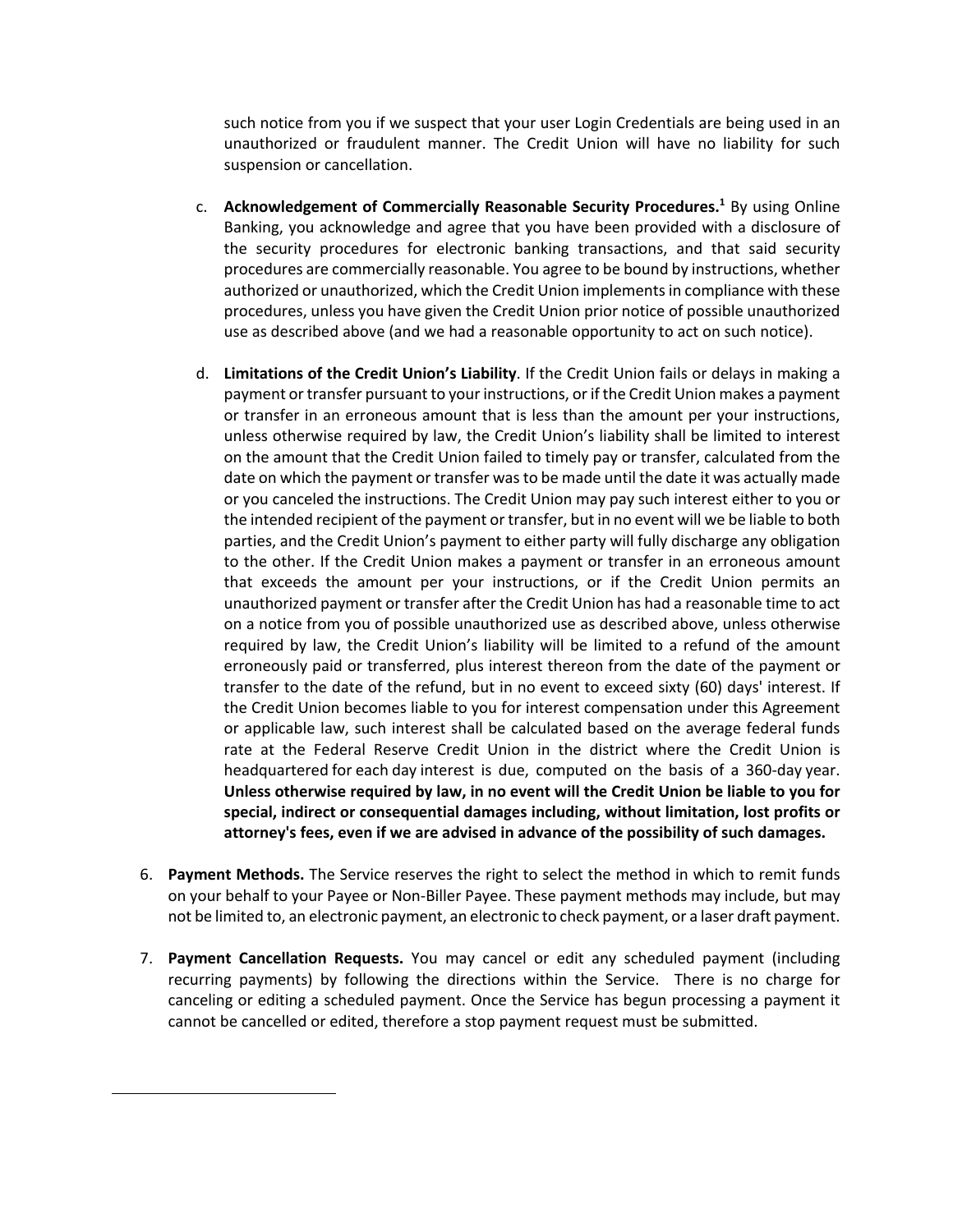such notice from you if we suspect that your user Login Credentials are being used in an unauthorized or fraudulent manner. The Credit Union will have no liability for such suspension or cancellation.

- c. **Acknowledgement of Commercially Reasonable Security Procedures.1** By using Online Banking, you acknowledge and agree that you have been provided with a disclosure of the security procedures for electronic banking transactions, and that said security procedures are commercially reasonable. You agree to be bound by instructions, whether authorized or unauthorized, which the Credit Union implements in compliance with these procedures, unless you have given the Credit Union prior notice of possible unauthorized use as described above (and we had a reasonable opportunity to act on such notice).
- d. **Limitations of the Credit Union's Liability**. If the Credit Union fails or delays in making a payment or transfer pursuant to your instructions, or if the Credit Union makes a payment or transfer in an erroneous amount that is less than the amount per your instructions, unless otherwise required by law, the Credit Union's liability shall be limited to interest on the amount that the Credit Union failed to timely pay or transfer, calculated from the date on which the payment or transfer was to be made until the date it was actually made or you canceled the instructions. The Credit Union may pay such interest either to you or the intended recipient of the payment or transfer, but in no event will we be liable to both parties, and the Credit Union's payment to either party will fully discharge any obligation to the other. If the Credit Union makes a payment or transfer in an erroneous amount that exceeds the amount per your instructions, or if the Credit Union permits an unauthorized payment or transfer after the Credit Union has had a reasonable time to act on a notice from you of possible unauthorized use as described above, unless otherwise required by law, the Credit Union's liability will be limited to a refund of the amount erroneously paid or transferred, plus interest thereon from the date of the payment or transfer to the date of the refund, but in no event to exceed sixty (60) days' interest. If the Credit Union becomes liable to you for interest compensation under this Agreement or applicable law, such interest shall be calculated based on the average federal funds rate at the Federal Reserve Credit Union in the district where the Credit Union is headquartered for each day interest is due, computed on the basis of a 360-day year. **Unless otherwise required by law, in no event will the Credit Union be liable to you for special, indirect or consequential damages including, without limitation, lost profits or attorney's fees, even if we are advised in advance of the possibility of such damages.**
- 6. **Payment Methods.** The Service reserves the right to select the method in which to remit funds on your behalf to your Payee or Non-Biller Payee. These payment methods may include, but may not be limited to, an electronic payment, an electronic to check payment, or a laser draft payment.
- 7. **Payment Cancellation Requests.** You may cancel or edit any scheduled payment (including recurring payments) by following the directions within the Service. There is no charge for canceling or editing a scheduled payment. Once the Service has begun processing a payment it cannot be cancelled or edited, therefore a stop payment request must be submitted.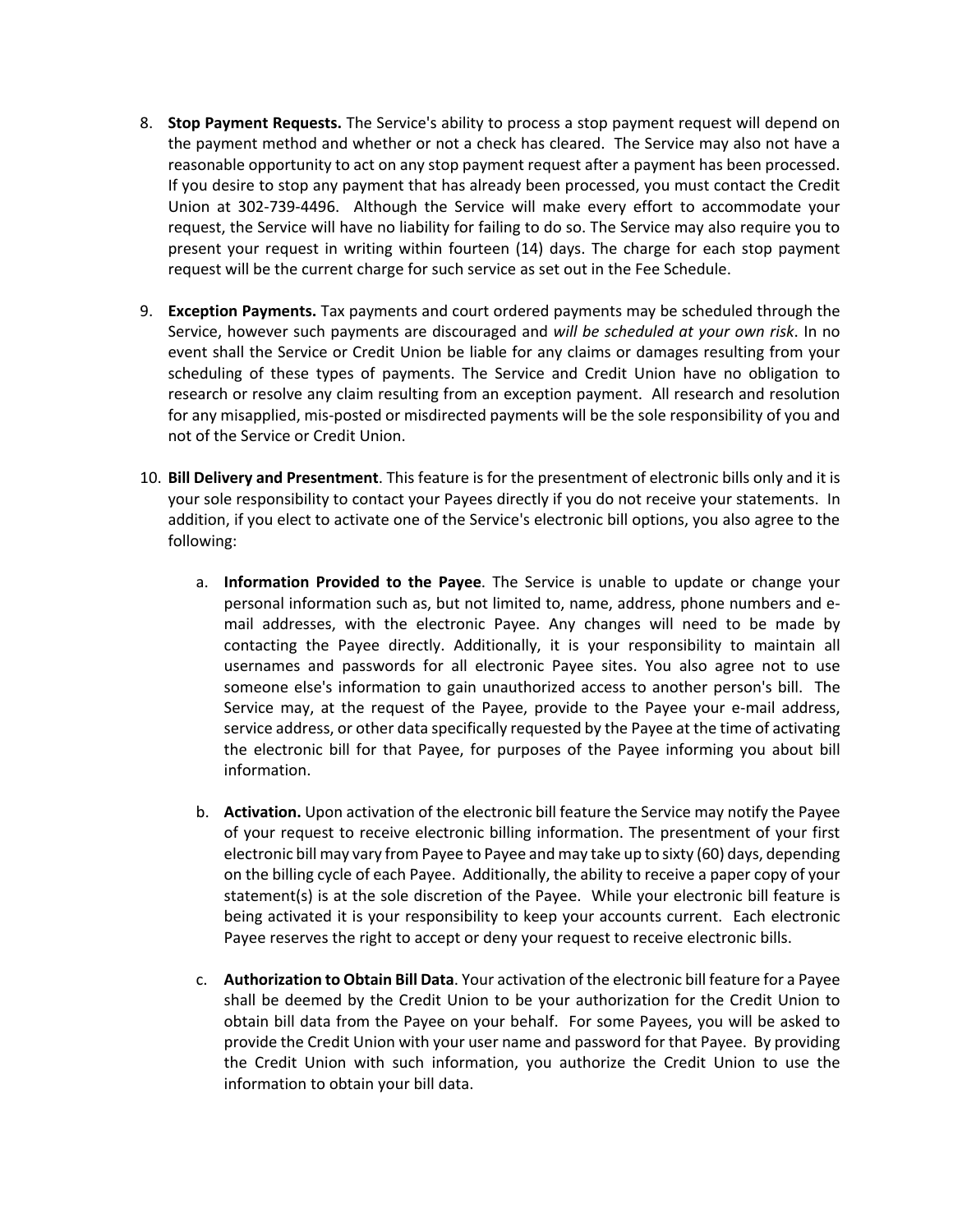- 8. **Stop Payment Requests.** The Service's ability to process a stop payment request will depend on the payment method and whether or not a check has cleared. The Service may also not have a reasonable opportunity to act on any stop payment request after a payment has been processed. If you desire to stop any payment that has already been processed, you must contact the Credit Union at 302-739-4496. Although the Service will make every effort to accommodate your request, the Service will have no liability for failing to do so. The Service may also require you to present your request in writing within fourteen (14) days. The charge for each stop payment request will be the current charge for such service as set out in the Fee Schedule.
- 9. **Exception Payments.** Tax payments and court ordered payments may be scheduled through the Service, however such payments are discouraged and *will be scheduled at your own risk*. In no event shall the Service or Credit Union be liable for any claims or damages resulting from your scheduling of these types of payments. The Service and Credit Union have no obligation to research or resolve any claim resulting from an exception payment. All research and resolution for any misapplied, mis-posted or misdirected payments will be the sole responsibility of you and not of the Service or Credit Union.
- 10. **Bill Delivery and Presentment**. This feature is for the presentment of electronic bills only and it is your sole responsibility to contact your Payees directly if you do not receive your statements. In addition, if you elect to activate one of the Service's electronic bill options, you also agree to the following:
	- a. **Information Provided to the Payee**. The Service is unable to update or change your personal information such as, but not limited to, name, address, phone numbers and email addresses, with the electronic Payee. Any changes will need to be made by contacting the Payee directly. Additionally, it is your responsibility to maintain all usernames and passwords for all electronic Payee sites. You also agree not to use someone else's information to gain unauthorized access to another person's bill. The Service may, at the request of the Payee, provide to the Payee your e-mail address, service address, or other data specifically requested by the Payee at the time of activating the electronic bill for that Payee, for purposes of the Payee informing you about bill information.
	- b. **Activation.** Upon activation of the electronic bill feature the Service may notify the Payee of your request to receive electronic billing information. The presentment of your first electronic bill may vary from Payee to Payee and may take up to sixty (60) days, depending on the billing cycle of each Payee. Additionally, the ability to receive a paper copy of your statement(s) is at the sole discretion of the Payee. While your electronic bill feature is being activated it is your responsibility to keep your accounts current. Each electronic Payee reserves the right to accept or deny your request to receive electronic bills.
	- c. **Authorization to Obtain Bill Data**. Your activation of the electronic bill feature for a Payee shall be deemed by the Credit Union to be your authorization for the Credit Union to obtain bill data from the Payee on your behalf. For some Payees, you will be asked to provide the Credit Union with your user name and password for that Payee. By providing the Credit Union with such information, you authorize the Credit Union to use the information to obtain your bill data.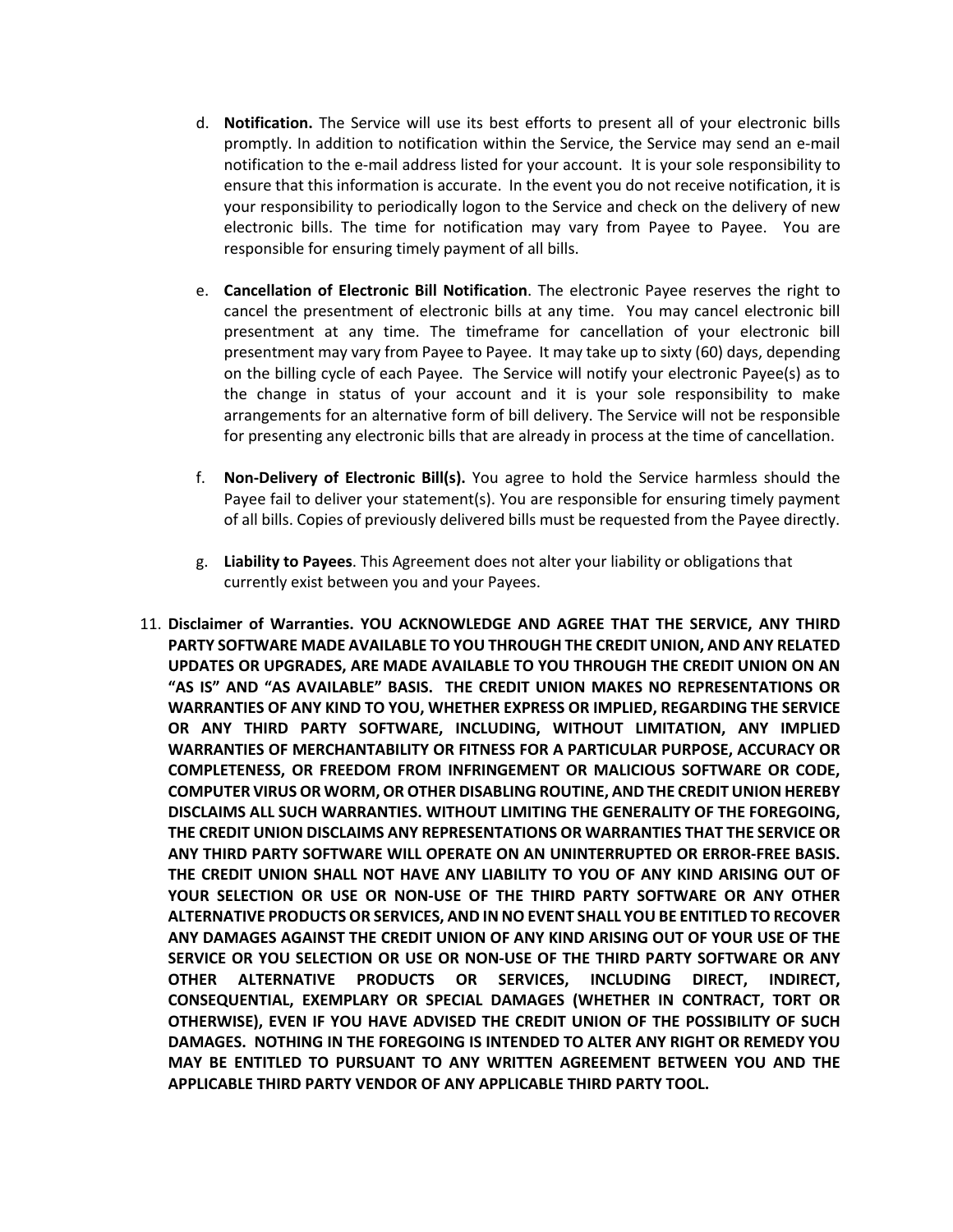- d. **Notification.** The Service will use its best efforts to present all of your electronic bills promptly. In addition to notification within the Service, the Service may send an e-mail notification to the e-mail address listed for your account. It is your sole responsibility to ensure that this information is accurate. In the event you do not receive notification, it is your responsibility to periodically logon to the Service and check on the delivery of new electronic bills. The time for notification may vary from Payee to Payee. You are responsible for ensuring timely payment of all bills.
- e. **Cancellation of Electronic Bill Notification**. The electronic Payee reserves the right to cancel the presentment of electronic bills at any time. You may cancel electronic bill presentment at any time. The timeframe for cancellation of your electronic bill presentment may vary from Payee to Payee. It may take up to sixty (60) days, depending on the billing cycle of each Payee. The Service will notify your electronic Payee(s) as to the change in status of your account and it is your sole responsibility to make arrangements for an alternative form of bill delivery. The Service will not be responsible for presenting any electronic bills that are already in process at the time of cancellation.
- f. **Non-Delivery of Electronic Bill(s).** You agree to hold the Service harmless should the Payee fail to deliver your statement(s). You are responsible for ensuring timely payment of all bills. Copies of previously delivered bills must be requested from the Payee directly.
- g. **Liability to Payees**. This Agreement does not alter your liability or obligations that currently exist between you and your Payees.
- 11. **Disclaimer of Warranties. YOU ACKNOWLEDGE AND AGREE THAT THE SERVICE, ANY THIRD PARTY SOFTWARE MADE AVAILABLE TO YOU THROUGH THE CREDIT UNION, AND ANY RELATED UPDATES OR UPGRADES, ARE MADE AVAILABLE TO YOU THROUGH THE CREDIT UNION ON AN "AS IS" AND "AS AVAILABLE" BASIS. THE CREDIT UNION MAKES NO REPRESENTATIONS OR WARRANTIES OF ANY KIND TO YOU, WHETHER EXPRESS OR IMPLIED, REGARDING THE SERVICE OR ANY THIRD PARTY SOFTWARE, INCLUDING, WITHOUT LIMITATION, ANY IMPLIED WARRANTIES OF MERCHANTABILITY OR FITNESS FOR A PARTICULAR PURPOSE, ACCURACY OR COMPLETENESS, OR FREEDOM FROM INFRINGEMENT OR MALICIOUS SOFTWARE OR CODE, COMPUTER VIRUS OR WORM, OR OTHER DISABLING ROUTINE, AND THE CREDIT UNION HEREBY DISCLAIMS ALL SUCH WARRANTIES. WITHOUT LIMITING THE GENERALITY OF THE FOREGOING, THE CREDIT UNION DISCLAIMS ANY REPRESENTATIONS OR WARRANTIES THAT THE SERVICE OR ANY THIRD PARTY SOFTWARE WILL OPERATE ON AN UNINTERRUPTED OR ERROR-FREE BASIS. THE CREDIT UNION SHALL NOT HAVE ANY LIABILITY TO YOU OF ANY KIND ARISING OUT OF YOUR SELECTION OR USE OR NON-USE OF THE THIRD PARTY SOFTWARE OR ANY OTHER ALTERNATIVE PRODUCTS OR SERVICES, AND IN NO EVENT SHALL YOU BE ENTITLED TO RECOVER ANY DAMAGES AGAINST THE CREDIT UNION OF ANY KIND ARISING OUT OF YOUR USE OF THE SERVICE OR YOU SELECTION OR USE OR NON-USE OF THE THIRD PARTY SOFTWARE OR ANY OTHER ALTERNATIVE PRODUCTS OR SERVICES, INCLUDING DIRECT, INDIRECT, CONSEQUENTIAL, EXEMPLARY OR SPECIAL DAMAGES (WHETHER IN CONTRACT, TORT OR OTHERWISE), EVEN IF YOU HAVE ADVISED THE CREDIT UNION OF THE POSSIBILITY OF SUCH DAMAGES. NOTHING IN THE FOREGOING IS INTENDED TO ALTER ANY RIGHT OR REMEDY YOU MAY BE ENTITLED TO PURSUANT TO ANY WRITTEN AGREEMENT BETWEEN YOU AND THE APPLICABLE THIRD PARTY VENDOR OF ANY APPLICABLE THIRD PARTY TOOL.**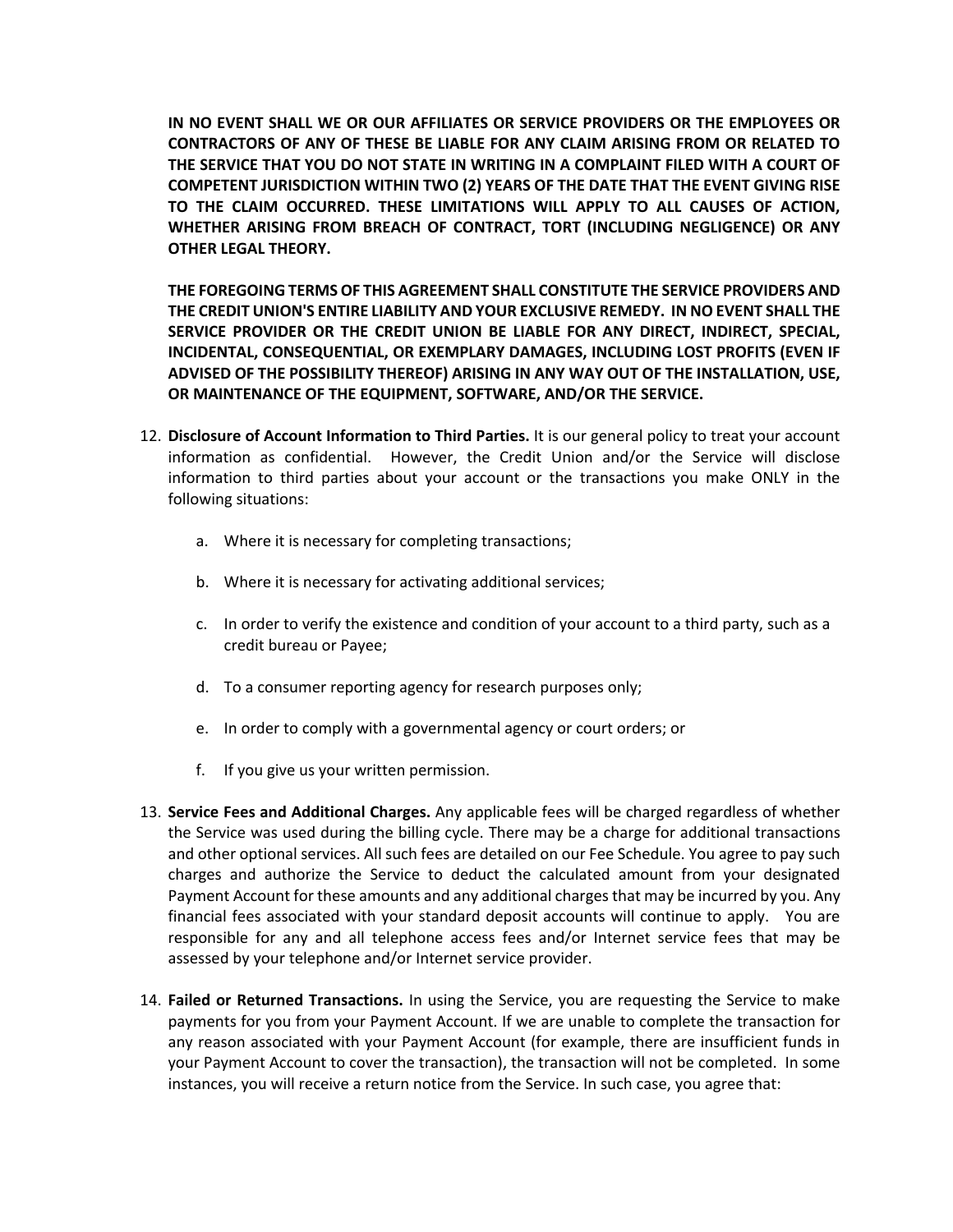**IN NO EVENT SHALL WE OR OUR AFFILIATES OR SERVICE PROVIDERS OR THE EMPLOYEES OR CONTRACTORS OF ANY OF THESE BE LIABLE FOR ANY CLAIM ARISING FROM OR RELATED TO THE SERVICE THAT YOU DO NOT STATE IN WRITING IN A COMPLAINT FILED WITH A COURT OF COMPETENT JURISDICTION WITHIN TWO (2) YEARS OF THE DATE THAT THE EVENT GIVING RISE TO THE CLAIM OCCURRED. THESE LIMITATIONS WILL APPLY TO ALL CAUSES OF ACTION, WHETHER ARISING FROM BREACH OF CONTRACT, TORT (INCLUDING NEGLIGENCE) OR ANY OTHER LEGAL THEORY.** 

**THE FOREGOING TERMS OF THIS AGREEMENT SHALL CONSTITUTE THE SERVICE PROVIDERS AND THE CREDIT UNION'S ENTIRE LIABILITY AND YOUR EXCLUSIVE REMEDY. IN NO EVENT SHALL THE SERVICE PROVIDER OR THE CREDIT UNION BE LIABLE FOR ANY DIRECT, INDIRECT, SPECIAL, INCIDENTAL, CONSEQUENTIAL, OR EXEMPLARY DAMAGES, INCLUDING LOST PROFITS (EVEN IF ADVISED OF THE POSSIBILITY THEREOF) ARISING IN ANY WAY OUT OF THE INSTALLATION, USE, OR MAINTENANCE OF THE EQUIPMENT, SOFTWARE, AND/OR THE SERVICE.**

- 12. **Disclosure of Account Information to Third Parties.** It is our general policy to treat your account information as confidential. However, the Credit Union and/or the Service will disclose information to third parties about your account or the transactions you make ONLY in the following situations:
	- a. Where it is necessary for completing transactions;
	- b. Where it is necessary for activating additional services;
	- c. In order to verify the existence and condition of your account to a third party, such as a credit bureau or Payee;
	- d. To a consumer reporting agency for research purposes only;
	- e. In order to comply with a governmental agency or court orders; or
	- f. If you give us your written permission.
- 13. **Service Fees and Additional Charges.** Any applicable fees will be charged regardless of whether the Service was used during the billing cycle. There may be a charge for additional transactions and other optional services. All such fees are detailed on our Fee Schedule. You agree to pay such charges and authorize the Service to deduct the calculated amount from your designated Payment Account for these amounts and any additional charges that may be incurred by you. Any financial fees associated with your standard deposit accounts will continue to apply. You are responsible for any and all telephone access fees and/or Internet service fees that may be assessed by your telephone and/or Internet service provider.
- 14. **Failed or Returned Transactions.** In using the Service, you are requesting the Service to make payments for you from your Payment Account. If we are unable to complete the transaction for any reason associated with your Payment Account (for example, there are insufficient funds in your Payment Account to cover the transaction), the transaction will not be completed. In some instances, you will receive a return notice from the Service. In such case, you agree that: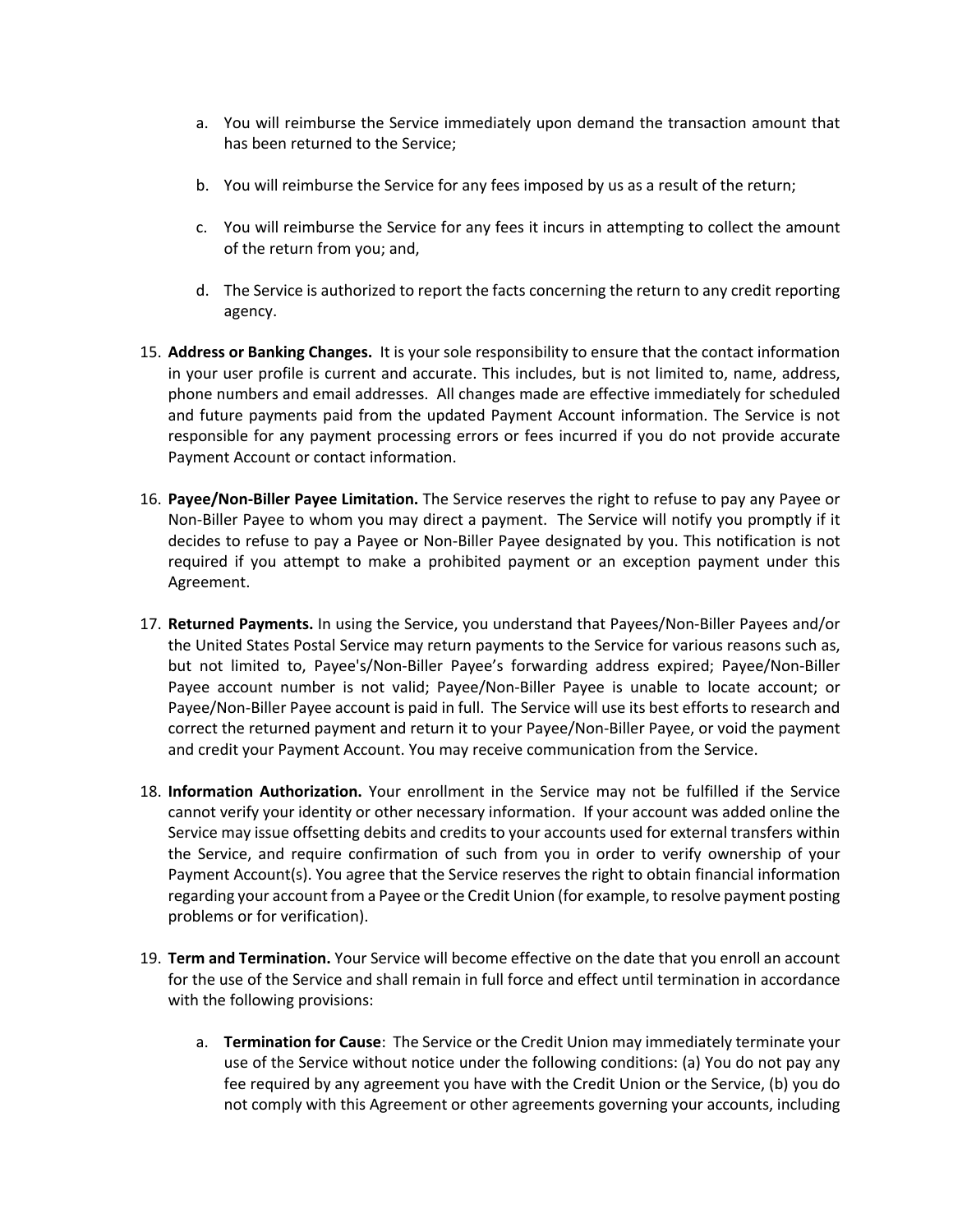- a. You will reimburse the Service immediately upon demand the transaction amount that has been returned to the Service;
- b. You will reimburse the Service for any fees imposed by us as a result of the return;
- c. You will reimburse the Service for any fees it incurs in attempting to collect the amount of the return from you; and,
- d. The Service is authorized to report the facts concerning the return to any credit reporting agency.
- 15. **Address or Banking Changes.** It is your sole responsibility to ensure that the contact information in your user profile is current and accurate. This includes, but is not limited to, name, address, phone numbers and email addresses. All changes made are effective immediately for scheduled and future payments paid from the updated Payment Account information. The Service is not responsible for any payment processing errors or fees incurred if you do not provide accurate Payment Account or contact information.
- 16. **Payee/Non-Biller Payee Limitation.** The Service reserves the right to refuse to pay any Payee or Non-Biller Payee to whom you may direct a payment. The Service will notify you promptly if it decides to refuse to pay a Payee or Non-Biller Payee designated by you. This notification is not required if you attempt to make a prohibited payment or an exception payment under this Agreement.
- 17. **Returned Payments.** In using the Service, you understand that Payees/Non-Biller Payees and/or the United States Postal Service may return payments to the Service for various reasons such as, but not limited to, Payee's/Non-Biller Payee's forwarding address expired; Payee/Non-Biller Payee account number is not valid; Payee/Non-Biller Payee is unable to locate account; or Payee/Non-Biller Payee account is paid in full. The Service will use its best efforts to research and correct the returned payment and return it to your Payee/Non-Biller Payee, or void the payment and credit your Payment Account. You may receive communication from the Service.
- 18. **Information Authorization.** Your enrollment in the Service may not be fulfilled if the Service cannot verify your identity or other necessary information. If your account was added online the Service may issue offsetting debits and credits to your accounts used for external transfers within the Service, and require confirmation of such from you in order to verify ownership of your Payment Account(s). You agree that the Service reserves the right to obtain financial information regarding your account from a Payee orthe Credit Union (for example, to resolve payment posting problems or for verification).
- 19. **Term and Termination.** Your Service will become effective on the date that you enroll an account for the use of the Service and shall remain in full force and effect until termination in accordance with the following provisions:
	- a. **Termination for Cause**: The Service or the Credit Union may immediately terminate your use of the Service without notice under the following conditions: (a) You do not pay any fee required by any agreement you have with the Credit Union or the Service, (b) you do not comply with this Agreement or other agreements governing your accounts, including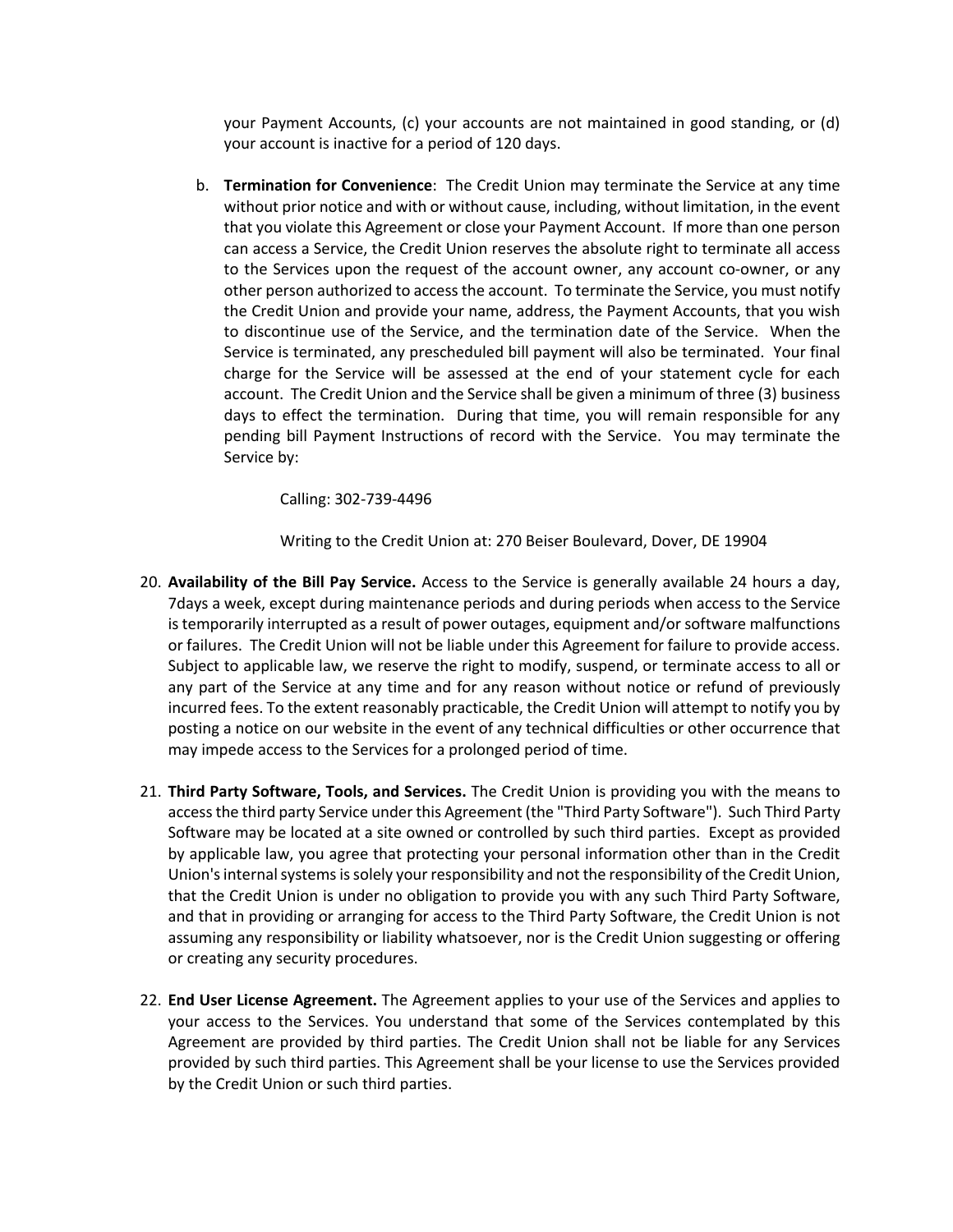your Payment Accounts, (c) your accounts are not maintained in good standing, or (d) your account is inactive for a period of 120 days.

b. **Termination for Convenience**: The Credit Union may terminate the Service at any time without prior notice and with or without cause, including, without limitation, in the event that you violate this Agreement or close your Payment Account. If more than one person can access a Service, the Credit Union reserves the absolute right to terminate all access to the Services upon the request of the account owner, any account co-owner, or any other person authorized to access the account. To terminate the Service, you must notify the Credit Union and provide your name, address, the Payment Accounts, that you wish to discontinue use of the Service, and the termination date of the Service. When the Service is terminated, any prescheduled bill payment will also be terminated. Your final charge for the Service will be assessed at the end of your statement cycle for each account. The Credit Union and the Service shall be given a minimum of three (3) business days to effect the termination. During that time, you will remain responsible for any pending bill Payment Instructions of record with the Service. You may terminate the Service by:

Calling: 302-739-4496

Writing to the Credit Union at: 270 Beiser Boulevard, Dover, DE 19904

- 20. **Availability of the Bill Pay Service.** Access to the Service is generally available 24 hours a day, 7days a week, except during maintenance periods and during periods when access to the Service is temporarily interrupted as a result of power outages, equipment and/or software malfunctions or failures. The Credit Union will not be liable under this Agreement for failure to provide access. Subject to applicable law, we reserve the right to modify, suspend, or terminate access to all or any part of the Service at any time and for any reason without notice or refund of previously incurred fees. To the extent reasonably practicable, the Credit Union will attempt to notify you by posting a notice on our website in the event of any technical difficulties or other occurrence that may impede access to the Services for a prolonged period of time.
- 21. **Third Party Software, Tools, and Services.** The Credit Union is providing you with the means to access the third party Service under this Agreement (the "Third Party Software"). Such Third Party Software may be located at a site owned or controlled by such third parties. Except as provided by applicable law, you agree that protecting your personal information other than in the Credit Union's internal systems is solely your responsibility and not the responsibility of the Credit Union, that the Credit Union is under no obligation to provide you with any such Third Party Software, and that in providing or arranging for access to the Third Party Software, the Credit Union is not assuming any responsibility or liability whatsoever, nor is the Credit Union suggesting or offering or creating any security procedures.
- 22. **End User License Agreement.** The Agreement applies to your use of the Services and applies to your access to the Services. You understand that some of the Services contemplated by this Agreement are provided by third parties. The Credit Union shall not be liable for any Services provided by such third parties. This Agreement shall be your license to use the Services provided by the Credit Union or such third parties.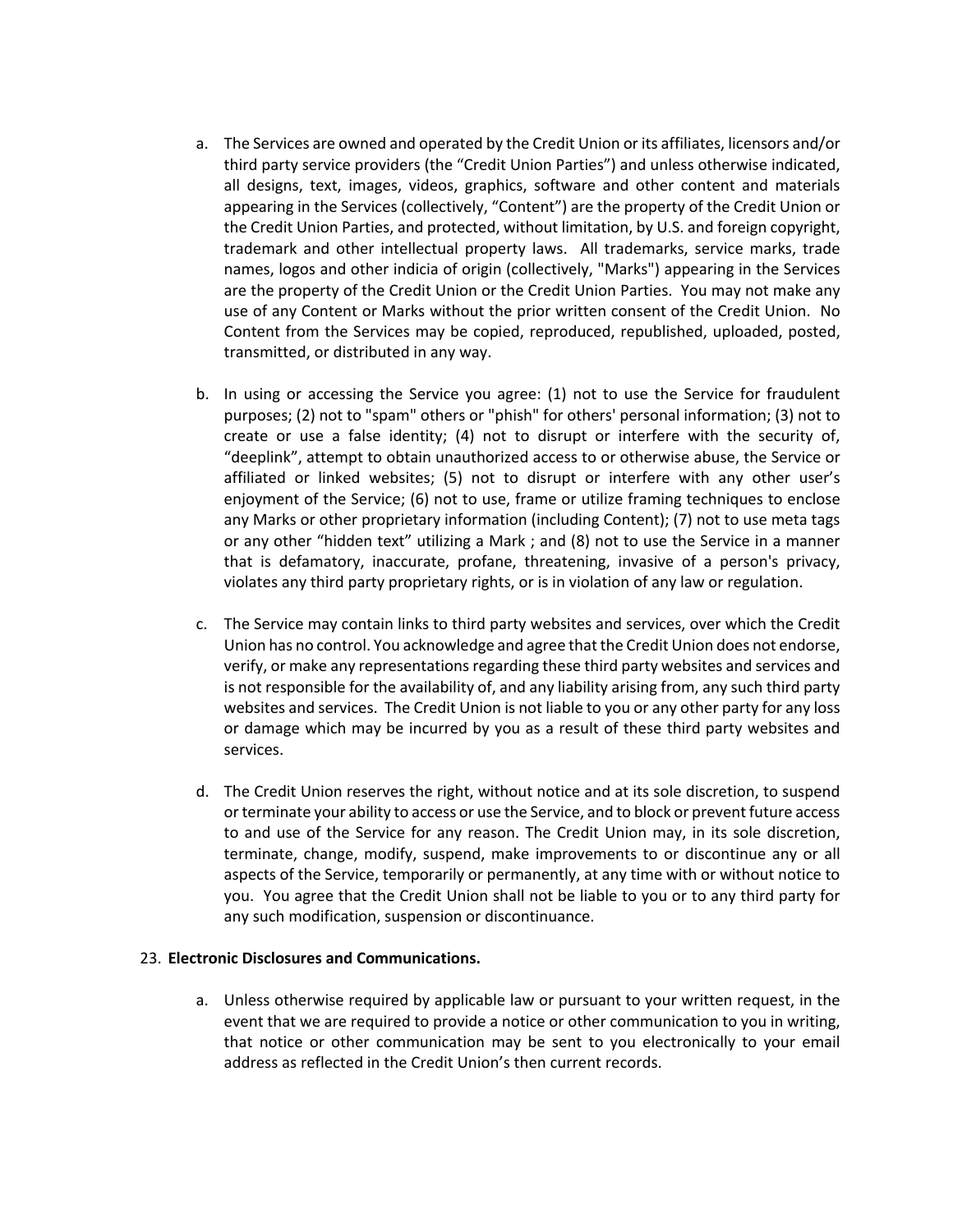- a. The Services are owned and operated by the Credit Union or its affiliates, licensors and/or third party service providers (the "Credit Union Parties") and unless otherwise indicated, all designs, text, images, videos, graphics, software and other content and materials appearing in the Services (collectively, "Content") are the property of the Credit Union or the Credit Union Parties, and protected, without limitation, by U.S. and foreign copyright, trademark and other intellectual property laws. All trademarks, service marks, trade names, logos and other indicia of origin (collectively, "Marks") appearing in the Services are the property of the Credit Union or the Credit Union Parties. You may not make any use of any Content or Marks without the prior written consent of the Credit Union. No Content from the Services may be copied, reproduced, republished, uploaded, posted, transmitted, or distributed in any way.
- b. In using or accessing the Service you agree: (1) not to use the Service for fraudulent purposes; (2) not to "spam" others or "phish" for others' personal information; (3) not to create or use a false identity; (4) not to disrupt or interfere with the security of, "deeplink", attempt to obtain unauthorized access to or otherwise abuse, the Service or affiliated or linked websites; (5) not to disrupt or interfere with any other user's enjoyment of the Service; (6) not to use, frame or utilize framing techniques to enclose any Marks or other proprietary information (including Content); (7) not to use meta tags or any other "hidden text" utilizing a Mark ; and (8) not to use the Service in a manner that is defamatory, inaccurate, profane, threatening, invasive of a person's privacy, violates any third party proprietary rights, or is in violation of any law or regulation.
- c. The Service may contain links to third party websites and services, over which the Credit Union has no control. You acknowledge and agree that the Credit Union does not endorse, verify, or make any representations regarding these third party websites and services and is not responsible for the availability of, and any liability arising from, any such third party websites and services. The Credit Union is not liable to you or any other party for any loss or damage which may be incurred by you as a result of these third party websites and services.
- d. The Credit Union reserves the right, without notice and at its sole discretion, to suspend or terminate your ability to access or use the Service, and to block or prevent future access to and use of the Service for any reason. The Credit Union may, in its sole discretion, terminate, change, modify, suspend, make improvements to or discontinue any or all aspects of the Service, temporarily or permanently, at any time with or without notice to you. You agree that the Credit Union shall not be liable to you or to any third party for any such modification, suspension or discontinuance.

# 23. **Electronic Disclosures and Communications.**

a. Unless otherwise required by applicable law or pursuant to your written request, in the event that we are required to provide a notice or other communication to you in writing, that notice or other communication may be sent to you electronically to your email address as reflected in the Credit Union's then current records.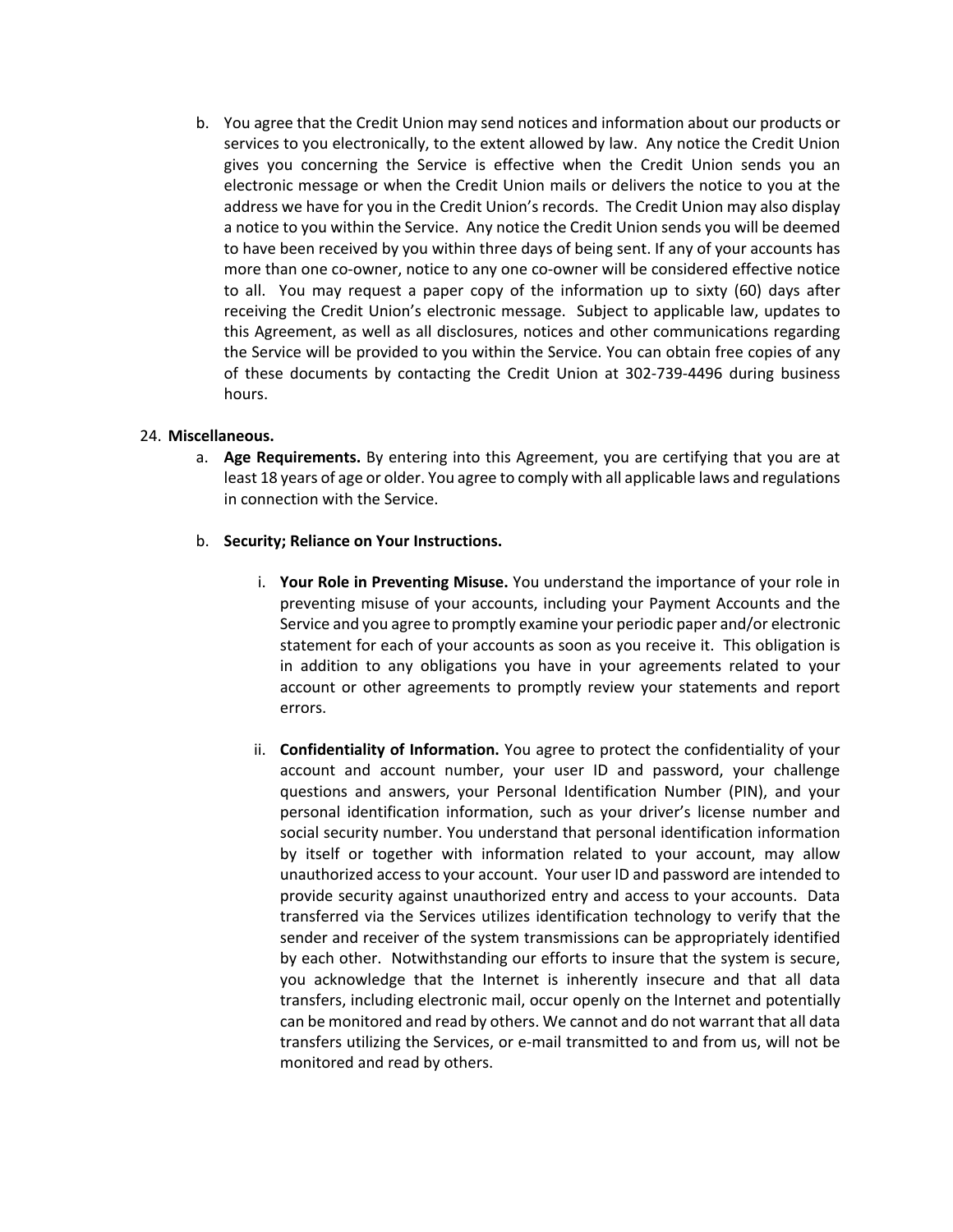b. You agree that the Credit Union may send notices and information about our products or services to you electronically, to the extent allowed by law. Any notice the Credit Union gives you concerning the Service is effective when the Credit Union sends you an electronic message or when the Credit Union mails or delivers the notice to you at the address we have for you in the Credit Union's records. The Credit Union may also display a notice to you within the Service. Any notice the Credit Union sends you will be deemed to have been received by you within three days of being sent. If any of your accounts has more than one co-owner, notice to any one co-owner will be considered effective notice to all. You may request a paper copy of the information up to sixty (60) days after receiving the Credit Union's electronic message. Subject to applicable law, updates to this Agreement, as well as all disclosures, notices and other communications regarding the Service will be provided to you within the Service. You can obtain free copies of any of these documents by contacting the Credit Union at 302-739-4496 during business hours.

# 24. **Miscellaneous.**

a. **Age Requirements.** By entering into this Agreement, you are certifying that you are at least 18 years of age or older. You agree to comply with all applicable laws and regulations in connection with the Service.

#### b. **Security; Reliance on Your Instructions.**

- i. **Your Role in Preventing Misuse.** You understand the importance of your role in preventing misuse of your accounts, including your Payment Accounts and the Service and you agree to promptly examine your periodic paper and/or electronic statement for each of your accounts as soon as you receive it. This obligation is in addition to any obligations you have in your agreements related to your account or other agreements to promptly review your statements and report errors.
- ii. **Confidentiality of Information.** You agree to protect the confidentiality of your account and account number, your user ID and password, your challenge questions and answers, your Personal Identification Number (PIN), and your personal identification information, such as your driver's license number and social security number. You understand that personal identification information by itself or together with information related to your account, may allow unauthorized access to your account. Your user ID and password are intended to provide security against unauthorized entry and access to your accounts. Data transferred via the Services utilizes identification technology to verify that the sender and receiver of the system transmissions can be appropriately identified by each other. Notwithstanding our efforts to insure that the system is secure, you acknowledge that the Internet is inherently insecure and that all data transfers, including electronic mail, occur openly on the Internet and potentially can be monitored and read by others. We cannot and do not warrant that all data transfers utilizing the Services, or e-mail transmitted to and from us, will not be monitored and read by others.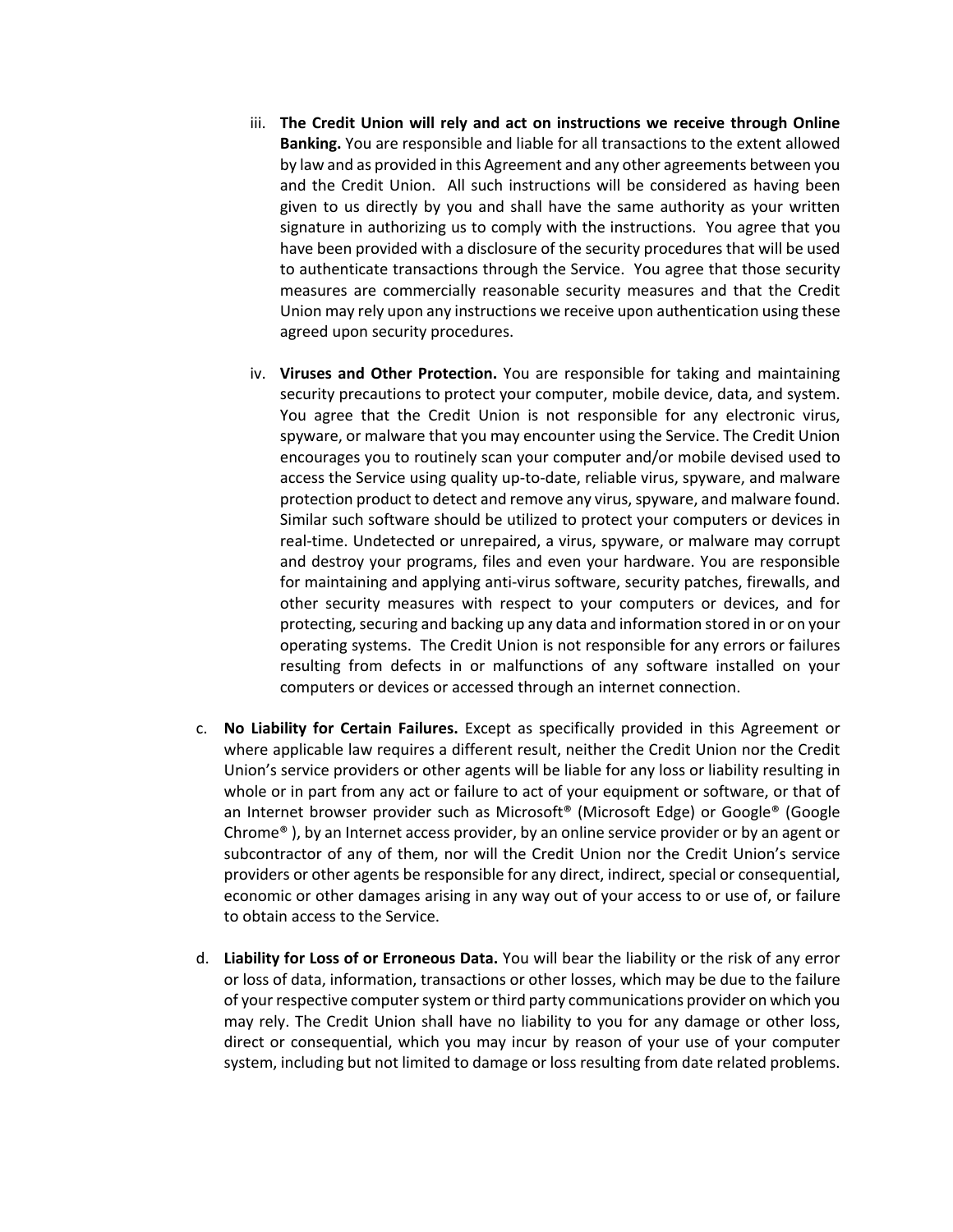- iii. **The Credit Union will rely and act on instructions we receive through Online Banking.** You are responsible and liable for all transactions to the extent allowed by law and as provided in this Agreement and any other agreements between you and the Credit Union. All such instructions will be considered as having been given to us directly by you and shall have the same authority as your written signature in authorizing us to comply with the instructions. You agree that you have been provided with a disclosure of the security procedures that will be used to authenticate transactions through the Service. You agree that those security measures are commercially reasonable security measures and that the Credit Union may rely upon any instructions we receive upon authentication using these agreed upon security procedures.
- iv. **Viruses and Other Protection.** You are responsible for taking and maintaining security precautions to protect your computer, mobile device, data, and system. You agree that the Credit Union is not responsible for any electronic virus, spyware, or malware that you may encounter using the Service. The Credit Union encourages you to routinely scan your computer and/or mobile devised used to access the Service using quality up-to-date, reliable virus, spyware, and malware protection product to detect and remove any virus, spyware, and malware found. Similar such software should be utilized to protect your computers or devices in real-time. Undetected or unrepaired, a virus, spyware, or malware may corrupt and destroy your programs, files and even your hardware. You are responsible for maintaining and applying anti-virus software, security patches, firewalls, and other security measures with respect to your computers or devices, and for protecting, securing and backing up any data and information stored in or on your operating systems. The Credit Union is not responsible for any errors or failures resulting from defects in or malfunctions of any software installed on your computers or devices or accessed through an internet connection.
- c. **No Liability for Certain Failures.** Except as specifically provided in this Agreement or where applicable law requires a different result, neither the Credit Union nor the Credit Union's service providers or other agents will be liable for any loss or liability resulting in whole or in part from any act or failure to act of your equipment or software, or that of an Internet browser provider such as Microsoft® (Microsoft Edge) or Google® (Google Chrome<sup>®</sup>), by an Internet access provider, by an online service provider or by an agent or subcontractor of any of them, nor will the Credit Union nor the Credit Union's service providers or other agents be responsible for any direct, indirect, special or consequential, economic or other damages arising in any way out of your access to or use of, or failure to obtain access to the Service.
- d. **Liability for Loss of or Erroneous Data.** You will bear the liability or the risk of any error or loss of data, information, transactions or other losses, which may be due to the failure of your respective computer system or third party communications provider on which you may rely. The Credit Union shall have no liability to you for any damage or other loss, direct or consequential, which you may incur by reason of your use of your computer system, including but not limited to damage or loss resulting from date related problems.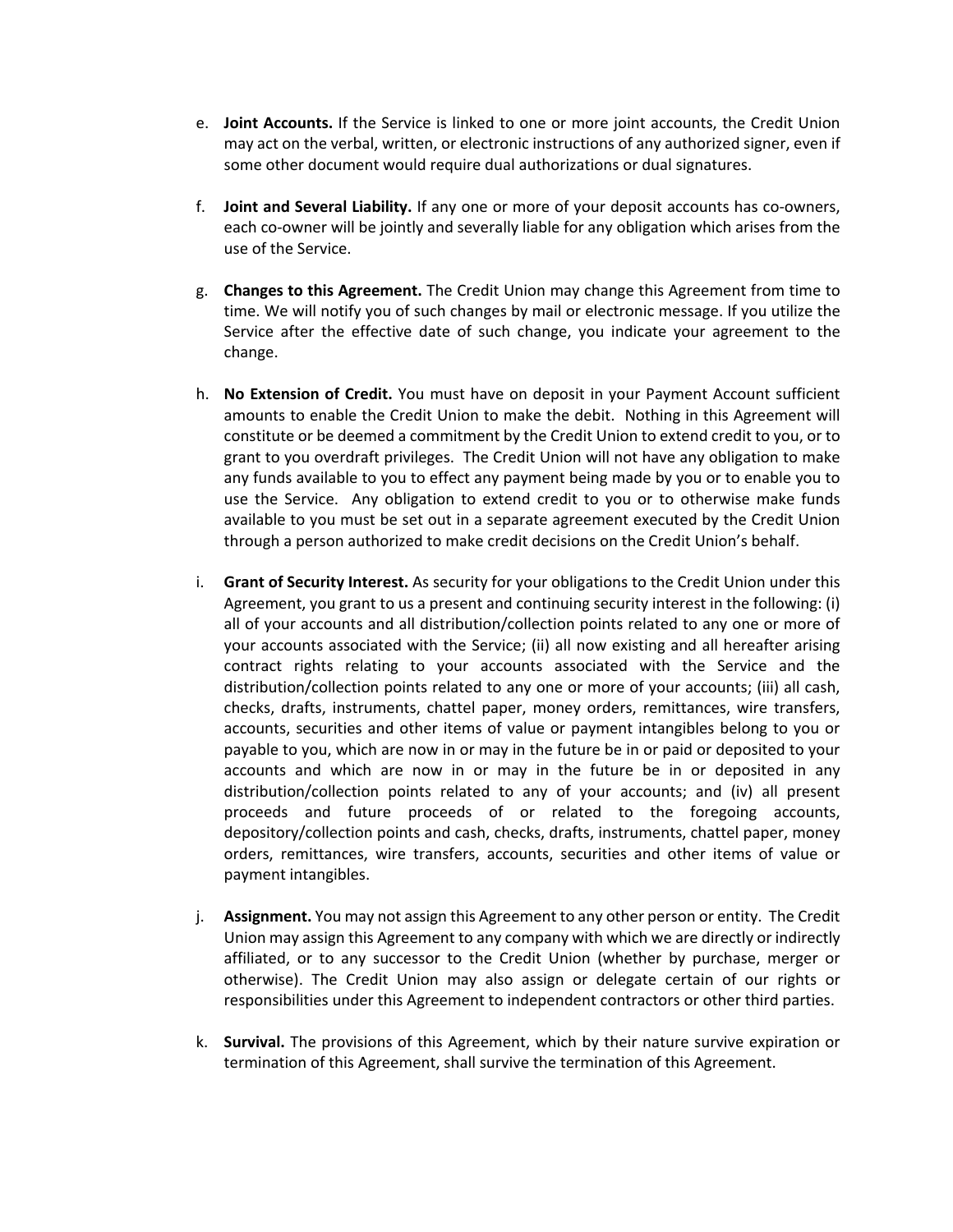- e. **Joint Accounts.** If the Service is linked to one or more joint accounts, the Credit Union may act on the verbal, written, or electronic instructions of any authorized signer, even if some other document would require dual authorizations or dual signatures.
- f. **Joint and Several Liability.** If any one or more of your deposit accounts has co-owners, each co-owner will be jointly and severally liable for any obligation which arises from the use of the Service.
- g. **Changes to this Agreement.** The Credit Union may change this Agreement from time to time. We will notify you of such changes by mail or electronic message. If you utilize the Service after the effective date of such change, you indicate your agreement to the change.
- h. **No Extension of Credit.** You must have on deposit in your Payment Account sufficient amounts to enable the Credit Union to make the debit. Nothing in this Agreement will constitute or be deemed a commitment by the Credit Union to extend credit to you, or to grant to you overdraft privileges. The Credit Union will not have any obligation to make any funds available to you to effect any payment being made by you or to enable you to use the Service. Any obligation to extend credit to you or to otherwise make funds available to you must be set out in a separate agreement executed by the Credit Union through a person authorized to make credit decisions on the Credit Union's behalf.
- i. **Grant of Security Interest.** As security for your obligations to the Credit Union under this Agreement, you grant to us a present and continuing security interest in the following: (i) all of your accounts and all distribution/collection points related to any one or more of your accounts associated with the Service; (ii) all now existing and all hereafter arising contract rights relating to your accounts associated with the Service and the distribution/collection points related to any one or more of your accounts; (iii) all cash, checks, drafts, instruments, chattel paper, money orders, remittances, wire transfers, accounts, securities and other items of value or payment intangibles belong to you or payable to you, which are now in or may in the future be in or paid or deposited to your accounts and which are now in or may in the future be in or deposited in any distribution/collection points related to any of your accounts; and (iv) all present proceeds and future proceeds of or related to the foregoing accounts, depository/collection points and cash, checks, drafts, instruments, chattel paper, money orders, remittances, wire transfers, accounts, securities and other items of value or payment intangibles.
- j. **Assignment.** You may not assign this Agreement to any other person or entity. The Credit Union may assign this Agreement to any company with which we are directly or indirectly affiliated, or to any successor to the Credit Union (whether by purchase, merger or otherwise). The Credit Union may also assign or delegate certain of our rights or responsibilities under this Agreement to independent contractors or other third parties.
- k. **Survival.** The provisions of this Agreement, which by their nature survive expiration or termination of this Agreement, shall survive the termination of this Agreement.